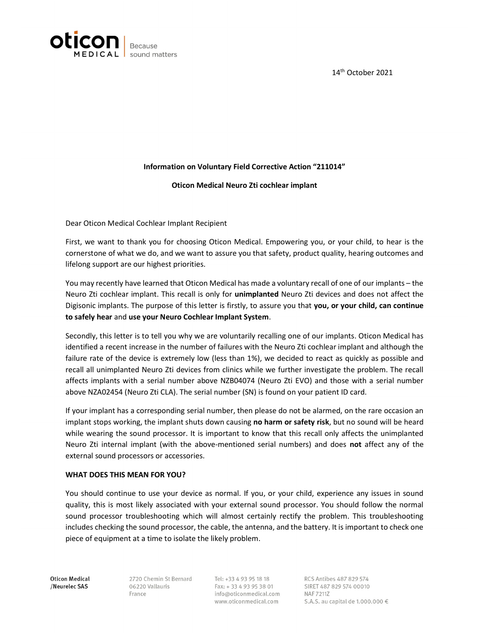



## Information on Voluntary Field Corrective Action "211014"

## Oticon Medical Neuro Zti cochlear implant

Dear Oticon Medical Cochlear Implant Recipient

First, we want to thank you for choosing Oticon Medical. Empowering you, or your child, to hear is the cornerstone of what we do, and we want to assure you that safety, product quality, hearing outcomes and lifelong support are our highest priorities.

You may recently have learned that Oticon Medical has made a voluntary recall of one of our implants – the Neuro Zti cochlear implant. This recall is only for unimplanted Neuro Zti devices and does not affect the Digisonic implants. The purpose of this letter is firstly, to assure you that you, or your child, can continue to safely hear and use your Neuro Cochlear Implant System.

Secondly, this letter is to tell you why we are voluntarily recalling one of our implants. Oticon Medical has identified a recent increase in the number of failures with the Neuro Zti cochlear implant and although the failure rate of the device is extremely low (less than 1%), we decided to react as quickly as possible and recall all unimplanted Neuro Zti devices from clinics while we further investigate the problem. The recall affects implants with a serial number above NZB04074 (Neuro Zti EVO) and those with a serial number above NZA02454 (Neuro Zti CLA). The serial number (SN) is found on your patient ID card.

If your implant has a corresponding serial number, then please do not be alarmed, on the rare occasion an implant stops working, the implant shuts down causing no harm or safety risk, but no sound will be heard while wearing the sound processor. It is important to know that this recall only affects the unimplanted Neuro Zti internal implant (with the above-mentioned serial numbers) and does not affect any of the external sound processors or accessories.

## WHAT DOES THIS MEAN FOR YOU?

You should continue to use your device as normal. If you, or your child, experience any issues in sound quality, this is most likely associated with your external sound processor. You should follow the normal sound processor troubleshooting which will almost certainly rectify the problem. This troubleshooting includes checking the sound processor, the cable, the antenna, and the battery. It is important to check one piece of equipment at a time to isolate the likely problem.

**Oticon Medical** /Neurelec SAS

2720 Chemin St Bernard 06220 Vallauris France

Tel: +33 4 93 95 18 18 Fax: +33 4 93 95 38 01 info@oticonmedical.com www.oticonmedical.com

RCS Antibes 487 829 574 SIRET 487 829 574 00010 **NAF7211Z** S.A.S. au capital de 1.000.000 €